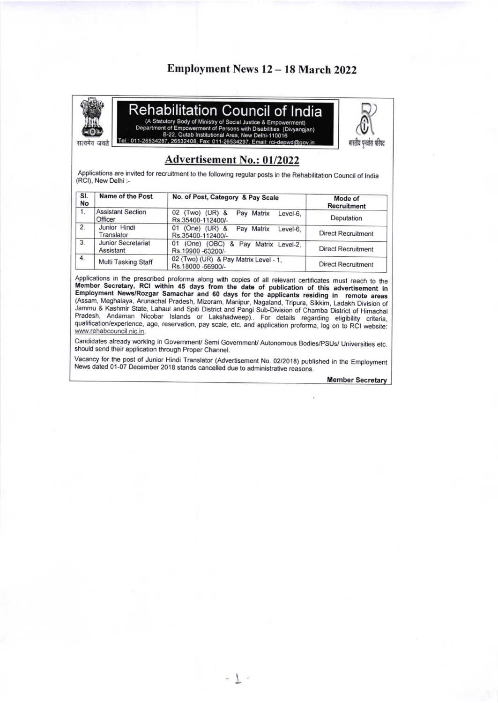## Employment News 12 - 18 March 2022



Reha bilitation Council of India (A Statutory Body of Ministry of Social Justice & Empowerment)

Department of Empowerment of Persons with Disabilities (Divyangjan) B-22, Qutab Institutional Area, New Delhi-110016<br>Tel.: 011-26534287, 26532408, Fax: 011-26534297, Email: rci-depwd@gov.in



भारतीय पनवास परिषद

### **Advertisement No.: 01/2022**

Applications are invited for recruitment to the following regular posts in the Rehabilitation Council of India (RCI), New Delhi :-

| SI.<br><b>No</b> | <b>Name of the Post</b>             | No. of Post, Category & Pay Scale                                     | Mode of<br><b>Recruitment</b> |
|------------------|-------------------------------------|-----------------------------------------------------------------------|-------------------------------|
| 1.               | <b>Assistant Section</b><br>Officer | 02 (Two) (UR) &<br>Pay Matrix<br>Level-6.<br>Rs.35400-112400/-        | Deputation                    |
| 2.               | Junior Hindi<br>Translator          | $(One)$ $(UR)$ &<br>01<br>Pay Matrix<br>Level-6.<br>Rs.35400-112400/- | <b>Direct Recruitment</b>     |
| 3.               | Junior Secretariat<br>Assistant     | (One) (OBC) & Pay Matrix Level-2,<br>01<br>Rs.19900-63200/-           | <b>Direct Recruitment</b>     |
| 4.               | Multi Tasking Staff                 | 02 (Two) (UR) & Pay Matrix Level - 1,<br>Rs.18000-56900/-             | <b>Direct Recruitment</b>     |

Applications in the prescribed proforma along with copies of all relevant certificates must reach to the Member Secretary, RCI within 45 days from the date of publication of this advertisement in<br>Employment News/Rozgar Samachar and 60 days for the applicants residing in remote areas (Assam, Meghalaya, Arunachal Pradesh, Mizoram, Manipur, Nagaland, Tripura, Sikkim, Ladakh Division of Jammu & Kashmir State, Lahaul and Spiti District and Pangi Sub-Division of Chamba District of Himachal Pradesh, Andaman Nicobar Islands or Lakshadweep). For details regarding eligibility criteria, qualification/experience, age, reservation, pay scale, etc. and application proforma, log on to RCI website: www.rehabcouncil.nic.in.

Candidates already working in Government/ Semi Government/ Autonomous Bodies/PSUs/ Universities etc. should send their application through Proper Channel.

Vacancy for the post of Junior Hindi Translator (Advertisement No. 02/2018) published in the Employment News dated 01-07 December 2018 stands cancelled due to administrative reasons.

-  $\overline{\mathcal{T}}$  .

**Member Secretary**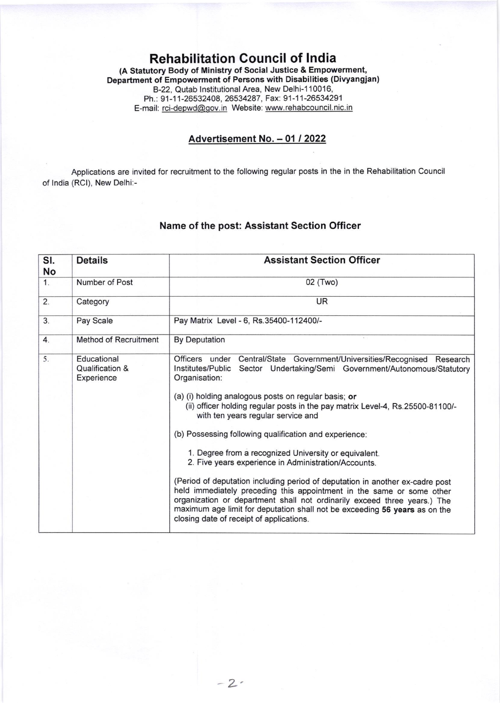#### Rehabilitation Council of lndia (A Statutory Body of Ministry of Social Justice & Empowerment, Department of Empowerment of Persons with Disabilities (Divyangjan) B-22, Qutab Institutional Area, New Delhi-110016 Ph.: 91-11-26532408, 26534287, Fax: 91-11-26534291 E-mail: rci-depwd@qov.in Website: www.rehabcouncil. nic. in

#### Advertisement No. - 01 / 2022

Applications are invited for recruitment to the following regular posts in the in the Rehabilitation Council of lndia (RCl), New Delhi:-

#### Name of the post: Assistant Section Officer

| SI.<br>No        | <b>Details</b>                               | <b>Assistant Section Officer</b>                                                                                                                                                                                                                                                                                                                                                                                                                                                                                                                                                                                                                                                                                                                                                                                                                                                                  |  |
|------------------|----------------------------------------------|---------------------------------------------------------------------------------------------------------------------------------------------------------------------------------------------------------------------------------------------------------------------------------------------------------------------------------------------------------------------------------------------------------------------------------------------------------------------------------------------------------------------------------------------------------------------------------------------------------------------------------------------------------------------------------------------------------------------------------------------------------------------------------------------------------------------------------------------------------------------------------------------------|--|
| 1.               | Number of Post                               | 02 (Two)                                                                                                                                                                                                                                                                                                                                                                                                                                                                                                                                                                                                                                                                                                                                                                                                                                                                                          |  |
| $\overline{2}$ . | Category                                     | <b>UR</b>                                                                                                                                                                                                                                                                                                                                                                                                                                                                                                                                                                                                                                                                                                                                                                                                                                                                                         |  |
| 3.               | Pay Scale                                    | Pay Matrix Level - 6, Rs.35400-112400/-                                                                                                                                                                                                                                                                                                                                                                                                                                                                                                                                                                                                                                                                                                                                                                                                                                                           |  |
| 4.               | <b>Method of Recruitment</b>                 | <b>By Deputation</b>                                                                                                                                                                                                                                                                                                                                                                                                                                                                                                                                                                                                                                                                                                                                                                                                                                                                              |  |
| 5.               | Educational<br>Qualification &<br>Experience | Officers under Central/State Government/Universities/Recognised Research<br>Institutes/Public Sector Undertaking/Semi Government/Autonomous/Statutory<br>Organisation:<br>(a) (i) holding analogous posts on regular basis; or<br>(ii) officer holding regular posts in the pay matrix Level-4, Rs.25500-81100/-<br>with ten years regular service and<br>(b) Possessing following qualification and experience:<br>1. Degree from a recognized University or equivalent.<br>2. Five years experience in Administration/Accounts.<br>(Period of deputation including period of deputation in another ex-cadre post<br>held immediately preceding this appointment in the same or some other<br>organization or department shall not ordinarily exceed three years.) The<br>maximum age limit for deputation shall not be exceeding 56 years as on the<br>closing date of receipt of applications. |  |